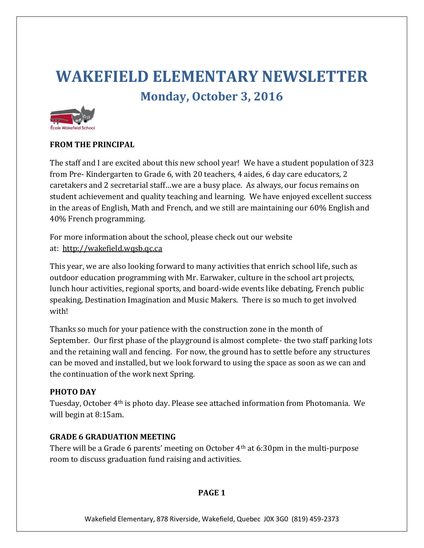# **WAKEFIELD ELEMENTARY NEWSLETTER Monday, October 3, 2016**



## **FROM THE PRINCIPAL**

The staff and I are excited about this new school year! We have a student population of 323 from Pre- Kindergarten to Grade 6, with 20 teachers, 4 aides, 6 day care educators, 2 caretakers and 2 secretarial staff…we are a busy place. As always, our focus remains on student achievement and quality teaching and learning. We have enjoyed excellent success in the areas of English, Math and French, and we still are maintaining our 60% English and 40% French programming.

For more information about the school, please check out our website at: [http://wakefield.wqsb.qc.ca](http://wakefield.wqsb.qc.ca/)

This year, we are also looking forward to many activities that enrich school life, such as outdoor education programming with Mr. Earwaker, culture in the school art projects, lunch hour activities, regional sports, and board-wide events like debating, French public speaking, Destination Imagination and Music Makers. There is so much to get involved with!

Thanks so much for your patience with the construction zone in the month of September. Our first phase of the playground is almost complete- the two staff parking lots and the retaining wall and fencing. For now, the ground has to settle before any structures can be moved and installed, but we look forward to using the space as soon as we can and the continuation of the work next Spring.

## **PHOTO DAY**

Tuesday, October 4th is photo day. Please see attached information from Photomania. We will begin at 8:15am.

## **GRADE 6 GRADUATION MEETING**

There will be a Grade 6 parents' meeting on October 4th at 6:30pm in the multi-purpose room to discuss graduation fund raising and activities.

## **PAGE 1**

Wakefield Elementary, 878 Riverside, Wakefield, Quebec J0X 3G0 (819) 459-2373